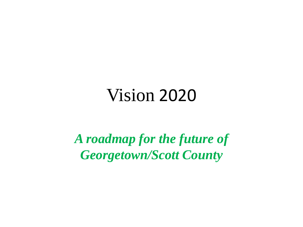## Vision 2020

*A roadmap for the future of Georgetown/Scott County*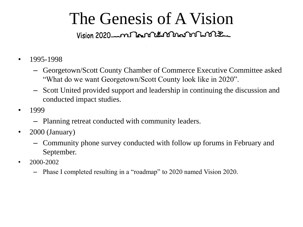# The Genesis of A Vision

- 1995-1998
	- Georgetown/Scott County Chamber of Commerce Executive Committee asked "What do we want Georgetown/Scott County look like in 2020".
	- Scott United provided support and leadership in continuing the discussion and conducted impact studies.
- 1999
	- Planning retreat conducted with community leaders.
- 2000 (January)
	- Community phone survey conducted with follow up forums in February and September.
- $2000 2002$ 
	- Phase I completed resulting in a "roadmap" to 2020 named Vision 2020.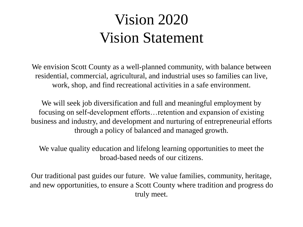### Vision 2020 Vision Statement

We envision Scott County as a well-planned community, with balance between residential, commercial, agricultural, and industrial uses so families can live, work, shop, and find recreational activities in a safe environment.

We will seek job diversification and full and meaningful employment by focusing on self-development efforts…retention and expansion of existing business and industry, and development and nurturing of entrepreneurial efforts through a policy of balanced and managed growth.

We value quality education and lifelong learning opportunities to meet the broad-based needs of our citizens.

Our traditional past guides our future. We value families, community, heritage, and new opportunities, to ensure a Scott County where tradition and progress do truly meet.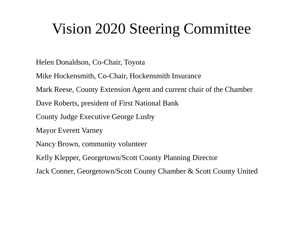### Vision 2020 Steering Committee

Helen Donaldson, Co-Chair, Toyota

Mike Hockensmith, Co-Chair, Hockensmith Insurance

Mark Reese, County Extension Agent and current chair of the Chamber

Dave Roberts, president of First National Bank

County Judge Executive George Lusby

Mayor Everett Varney

Nancy Brown, community volunteer

Kelly Klepper, Georgetown/Scott County Planning Director

Jack Conner, Georgetown/Scott County Chamber & Scott County United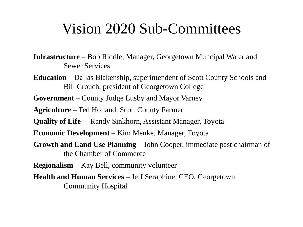### Vision 2020 Sub-Committees

**Infrastructure** – Bob Riddle, Manager, Georgetown Muncipal Water and Sewer Services

**Education** – Dallas Blakenship, superintendent of Scott County Schools and Bill Crouch, president of Georgetown College

**Government** – County Judge Lusby and Mayor Varney

**Agriculture** – Ted Holland, Scott County Farmer

**Quality of Life** – Randy Sinkhorn, Assistant Manager, Toyota

**Economic Development** – Kim Menke, Manager, Toyota

**Growth and Land Use Planning** – John Cooper, immediate past chairman of the Chamber of Commerce

**Regionalism** – Kay Bell, community volunteer

**Health and Human Services** – Jeff Seraphine, CEO, Georgetown Community Hospital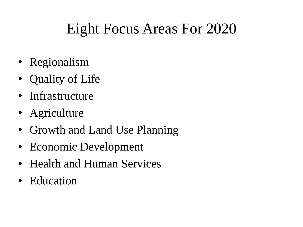## Eight Focus Areas For 2020

- Regionalism
- Quality of Life
- Infrastructure
- Agriculture
- Growth and Land Use Planning
- Economic Development
- Health and Human Services
- Education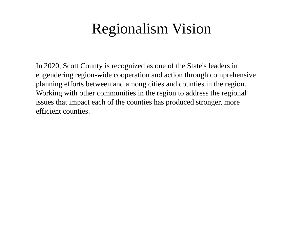### Regionalism Vision

In 2020, Scott County is recognized as one of the State's leaders in engendering region-wide cooperation and action through comprehensive planning efforts between and among cities and counties in the region. Working with other communities in the region to address the regional issues that impact each of the counties has produced stronger, more efficient counties.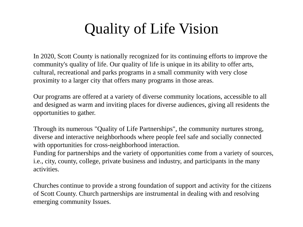## Quality of Life Vision

In 2020, Scott County is nationally recognized for its continuing efforts to improve the community's quality of life. Our quality of life is unique in its ability to offer arts, cultural, recreational and parks programs in a small community with very close proximity to a larger city that offers many programs in those areas.

Our programs are offered at a variety of diverse community locations, accessible to all and designed as warm and inviting places for diverse audiences, giving all residents the opportunities to gather.

Through its numerous "Quality of Life Partnerships", the community nurtures strong, diverse and interactive neighborhoods where people feel safe and socially connected with opportunities for cross-neighborhood interaction.

Funding for partnerships and the variety of opportunities come from a variety of sources, i.e., city, county, college, private business and industry, and participants in the many activities.

Churches continue to provide a strong foundation of support and activity for the citizens of Scott County. Church partnerships are instrumental in dealing with and resolving emerging community Issues.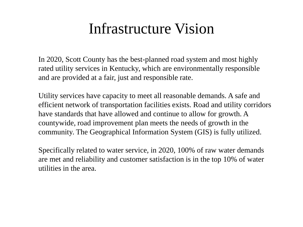### Infrastructure Vision

In 2020, Scott County has the best-planned road system and most highly rated utility services in Kentucky, which are environmentally responsible and are provided at a fair, just and responsible rate.

Utility services have capacity to meet all reasonable demands. A safe and efficient network of transportation facilities exists. Road and utility corridors have standards that have allowed and continue to allow for growth. A countywide, road improvement plan meets the needs of growth in the community. The Geographical Information System (GIS) is fully utilized.

Specifically related to water service, in 2020, 100% of raw water demands are met and reliability and customer satisfaction is in the top 10% of water utilities in the area.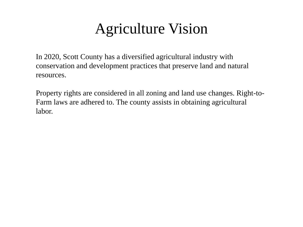### Agriculture Vision

In 2020, Scott County has a diversified agricultural industry with conservation and development practices that preserve land and natural resources.

Property rights are considered in all zoning and land use changes. Right-to-Farm laws are adhered to. The county assists in obtaining agricultural labor.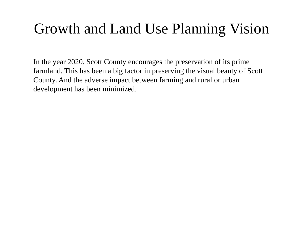## Growth and Land Use Planning Vision

In the year 2020, Scott County encourages the preservation of its prime farmland. This has been a big factor in preserving the visual beauty of Scott County. And the adverse impact between farming and rural or urban development has been minimized.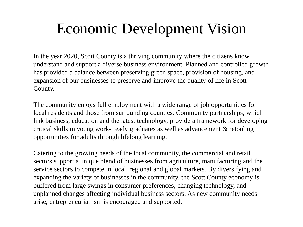### Economic Development Vision

In the year 2020, Scott County is a thriving community where the citizens know, understand and support a diverse business environment. Planned and controlled growth has provided a balance between preserving green space, provision of housing, and expansion of our businesses to preserve and improve the quality of life in Scott County.

The community enjoys full employment with a wide range of job opportunities for local residents and those from surrounding counties. Community partnerships, which link business, education and the latest technology, provide a framework for developing critical skills in young work- ready graduates as well as advancement & retooling opportunities for adults through lifelong learning.

Catering to the growing needs of the local community, the commercial and retail sectors support a unique blend of businesses from agriculture, manufacturing and the service sectors to compete in local, regional and global markets. By diversifying and expanding the variety of businesses in the community, the Scott County economy is buffered from large swings in consumer preferences, changing technology, and unplanned changes affecting individual business sectors. As new community needs arise, entrepreneurial ism is encouraged and supported.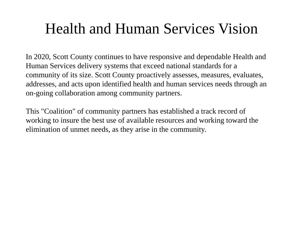### Health and Human Services Vision

In 2020, Scott County continues to have responsive and dependable Health and Human Services delivery systems that exceed national standards for a community of its size. Scott County proactively assesses, measures, evaluates, addresses, and acts upon identified health and human services needs through an on-going collaboration among community partners.

This "Coalition" of community partners has established a track record of working to insure the best use of available resources and working toward the elimination of unmet needs, as they arise in the community.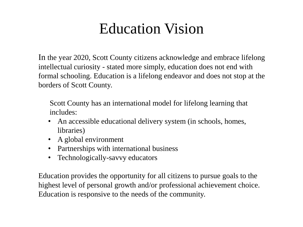### Education Vision

In the year 2020, Scott County citizens acknowledge and embrace lifelong intellectual curiosity - stated more simply, education does not end with formal schooling. Education is a lifelong endeavor and does not stop at the borders of Scott County.

Scott County has an international model for lifelong learning that includes:

- An accessible educational delivery system (in schools, homes, libraries)
- A global environment
- Partnerships with international business
- Technologically-savvy educators

Education provides the opportunity for all citizens to pursue goals to the highest level of personal growth and/or professional achievement choice. Education is responsive to the needs of the community.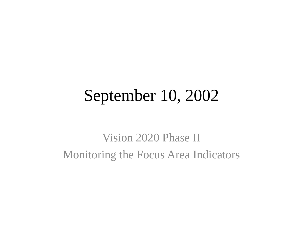## September 10, 2002

Vision 2020 Phase II Monitoring the Focus Area Indicators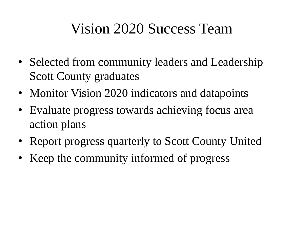### Vision 2020 Success Team

- Selected from community leaders and Leadership Scott County graduates
- Monitor Vision 2020 indicators and datapoints
- Evaluate progress towards achieving focus area action plans
- Report progress quarterly to Scott County United
- Keep the community informed of progress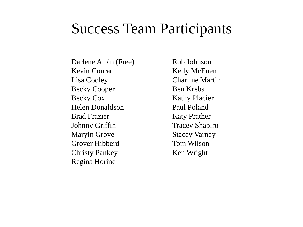### Success Team Participants

Darlene Albin (Free) Kevin Conrad Lisa Cooley Becky Cooper Becky Cox Helen Donaldson Brad Frazier Johnny Griffin Maryln Grove Grover Hibberd Christy Pankey Regina Horine

Rob Johnson Kelly McEuen Charline Martin Ben Krebs Kathy Placier Paul Poland Katy Prather Tracey Shapiro Stacey Varney Tom Wilson Ken Wright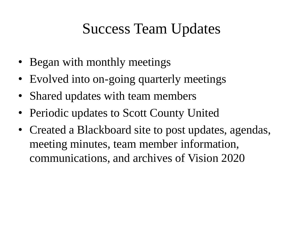### Success Team Updates

- Began with monthly meetings
- Evolved into on-going quarterly meetings
- Shared updates with team members
- Periodic updates to Scott County United
- Created a Blackboard site to post updates, agendas, meeting minutes, team member information, communications, and archives of Vision 2020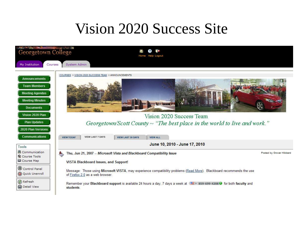### Vision 2020 Success Site

| Georgetown College<br>Courses<br>My Institution                                                                                                                                                               | System Admin                                                                                                                 |                          |                                                                          |                                                                                                                                       |                          |
|---------------------------------------------------------------------------------------------------------------------------------------------------------------------------------------------------------------|------------------------------------------------------------------------------------------------------------------------------|--------------------------|--------------------------------------------------------------------------|---------------------------------------------------------------------------------------------------------------------------------------|--------------------------|
| <b>Announcements</b><br><b>Team Members</b><br><b>Meeting Agendas</b><br><b>Meeting Minutes</b><br><b>Documents</b><br>Vision 2020 Plan<br><b>Plan Updates</b><br>2020 Plan Versions<br><b>Communications</b> | COURSES > VISION 2020 SUCCESS TEAM > ANNOUNCEMENTS<br><b>VIEW LAST 7 DAYS</b><br><b>VIEW TODAY</b>                           | <b>VIEW LAST 30 DAYS</b> | <b>The Moore American</b><br>Vision 2020 Success Team<br><b>VIEW ALL</b> | Georgetown/Scott County $\sim$ "The best place in the world to live and work."                                                        |                          |
| Tools                                                                                                                                                                                                         |                                                                                                                              |                          | June 10, 2010 - June 17, 2010                                            |                                                                                                                                       |                          |
| <b>图 Communication</b><br><b>X</b> Course Tools<br><b>Q</b> Course Map                                                                                                                                        | Thu, Jun 21, 2007 -- Microsoft Vista and Blackboard Compatibility Issue<br>٤<br><b>VISTA Blackboard Issues, and Support!</b> |                          |                                                                          |                                                                                                                                       | Posted by Grover Hibberd |
| Control Panel<br>Q Quick Unenroll                                                                                                                                                                             | of Firefox 2.0 as a web browser.                                                                                             |                          |                                                                          | Message: Those using Microsoft VISTA, may experience compatibility problems (Read More). Blackboard recommends the use                |                          |
| <b>B</b> Refresh<br><b>(a)</b> Detail View                                                                                                                                                                    | students.                                                                                                                    |                          |                                                                          | Remember your Blackboard support is available 24 hours a day, 7 days a week at $\equiv$ + 859-699-4208 $\bullet$ for both faculty and |                          |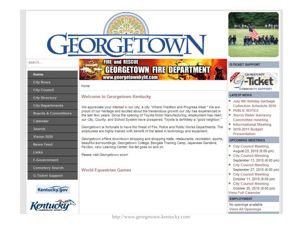#### search...

#### Home

#### **City News**

**City Council** 

**City Directory** 

**City Departments** 

**Boards & Committees** 

Calendar

Search

Vision 2020

**News Feed** 

Links

E-Government

Cemetery Search

**G-Ticket Support** 





### **FIRE and RESCUE GEORGETOWN FIRE DEPARTMENT** www.georgetownkyfd.com

Home

### **Welcome to Georgetown Kentucky**



Georgetown is fortunate to have the finest of Fire, Police and Public Works Departments. The employees are highly trained with benefit of the latest in technology and equipment.

Georgetown offers downtown shopping and shopping malls, restaurants, recreation, sports, beautiful surroundings, Georgetown College, Bengals Training Camp, Japanese Gardens, Pavilion, new Learning Center; the list goes on and on.

Please visit Georgetown soon!

### **World Equestrian Games**



#### **G-TICKET SUPPORT**



#### **LATEST NEWS**

- <sup>o</sup> July 4th Holiday Garbage Collection Schedule 2010
- · PUBLIC NOTICE
- **Storm Water Advisory** Committee meeting
- **Informational Meeting**
- <sup>o</sup> 2010-2011 Budget Presentation

#### **UPCOMING MEETINGS**

**• City Council Meeting** August 23, 2010 (6:00 pm) **• City Council Meeting** September 13, 2010 (6:00 pm) **• City Council Meeting** September 27, 2010 (6:00 pm) **• City Council Meeting** October 11, 2010 (6:00 pm) **• City Council Meeting** October 25, 2010 (6:00 pm) View Full Calendar **EMPLOYMENT** No openings available

**View All Openings** 

http://www.georgetown-kentucky.com/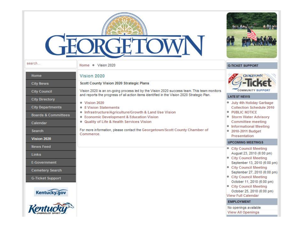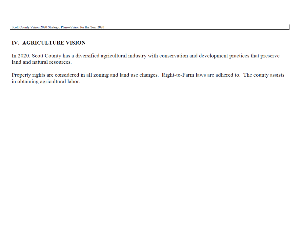### **IV. AGRICULTURE VISION**

In 2020, Scott County has a diversified agricultural industry with conservation and development practices that preserve land and natural resources.

Property rights are considered in all zoning and land use changes. Right-to-Farm laws are adhered to. The county assists in obtaining agricultural labor.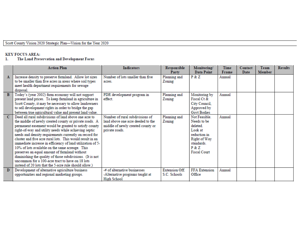Scott County Vision 2020 Strategic Plan-Vision for the Year 2020

#### **KEY FOCUS AREA:**

#### The Land Preservation and Development Focus 1.

|             | <b>Action Plan</b>                                                                                                                                                                                                                                                                                                                                                                                                                                                                                                                                                                                                                                                                                    | <b>Indicators</b>                                                                                                           | Responsible<br>Party                 | Monitoring/<br>Data Point                                                                                                      | Time<br>Frame | Contact<br>Date | Team<br>Member | <b>Results</b> |
|-------------|-------------------------------------------------------------------------------------------------------------------------------------------------------------------------------------------------------------------------------------------------------------------------------------------------------------------------------------------------------------------------------------------------------------------------------------------------------------------------------------------------------------------------------------------------------------------------------------------------------------------------------------------------------------------------------------------------------|-----------------------------------------------------------------------------------------------------------------------------|--------------------------------------|--------------------------------------------------------------------------------------------------------------------------------|---------------|-----------------|----------------|----------------|
| A           | Increase density to preserve farmland. Allow lot sizes<br>to be smaller than five acres in areas where soil types<br>meet health department requirements for sewage<br>disposal.                                                                                                                                                                                                                                                                                                                                                                                                                                                                                                                      | Number of lots smaller than five<br>acres.                                                                                  | Planning and<br>Zoning               | P & Z                                                                                                                          | Annual        |                 |                |                |
| B           | Today's (year 2002) farm economy will not support<br>present land prices. To keep farmland in agriculture in<br>Scott County, it may be necessary to allow landowners<br>to sell development rights in order to bridge the gap<br>between true agricultural value and present land value.                                                                                                                                                                                                                                                                                                                                                                                                             | PDR development program in<br>effect.                                                                                       | Planning and<br>Zoning               | Monitoring by<br>Fiscal Ct &<br>City Council,<br>Approved by<br><b>Govt Bodies</b>                                             | Annual        |                 |                |                |
| $\mathbf C$ | Deed all rural subdivisions of land above one acre to<br>the middle of newly created county or private roads. A<br>permanent easement would be granted to satisfy county<br>right-of-way and utility needs while achieving septic<br>needs and density requirements currently on record for<br>cluster and five acre rural lots. This would result in an<br>immediate increase in efficiency of land utilization of 5-<br>10% of lots available on the same acreage. This<br>preserves an equal amount of farmland without<br>diminishing the quality of those subdivisions. (It is not<br>uncommon for a 100-acre tract to have on 18 lots<br>instead of 20 lots that the 5-acre rule should allow.) | Number of rural subdivisions of<br>land above one acre deeded to the<br>middle of newly created county or<br>private roads. | Planning and<br>Zoning               | Not Feasible<br>Needs to be<br>deleted<br>Look at<br>reduction in<br>Right of Way<br>standards<br>P & Z<br><b>Fiscal Court</b> | Annual        |                 |                |                |
| D           | Development of alternative agriculture business<br>opportunities and regional marketing groups.                                                                                                                                                                                                                                                                                                                                                                                                                                                                                                                                                                                                       | -# of alternative businesses<br>-Alternative programs taught at<br>High School                                              | <b>Extension Off</b><br>S.C. Schools | <b>FFA</b> Extension<br>Office                                                                                                 | Annual        |                 |                |                |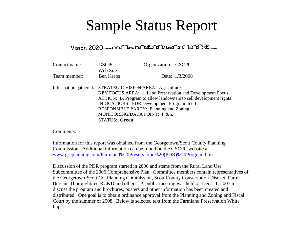### Sample Status Report

### 

| Contact name: | <b>GSCPC</b>                                               | Organization: GSCPC                                               |                |  |  |  |  |
|---------------|------------------------------------------------------------|-------------------------------------------------------------------|----------------|--|--|--|--|
|               | Web Site                                                   |                                                                   |                |  |  |  |  |
| Team member:  | Ben Krebs                                                  |                                                                   | Date: 1/3/2008 |  |  |  |  |
|               |                                                            |                                                                   |                |  |  |  |  |
|               | Information gathered: STRATEGIC VISION AREA: Agriculture   |                                                                   |                |  |  |  |  |
|               | KEY FOCUS AREA: 1. Land Preservation and Development Focus |                                                                   |                |  |  |  |  |
|               |                                                            | ACTION: B. Program to allow landowners to sell development rights |                |  |  |  |  |
|               | <b>INDICATIORS: PDR Development Program in effect</b>      |                                                                   |                |  |  |  |  |
|               | RESPONSIBLE PARTY: Planning and Zoning                     |                                                                   |                |  |  |  |  |
|               | MONITORING/DATA POINT: P & Z                               |                                                                   |                |  |  |  |  |
|               | <b>STATUS: Green</b>                                       |                                                                   |                |  |  |  |  |

Comments:

Information for this report was obtained from the Georgetown/Scott County Planning Commission. Additional information can be found on the GSCPC website at www.gscplanning.com/Farmland%20Preservation%20(PDR)%20Program.htm.

Discussion of the PDR program started in 2006 and stems from the Rural Land Use Subcommittee of the 2006 Comprehensive Plan. Committee members contain representatives of the Georgetown-Scott Co. Planning Commission, Scott County Conservation District, Farm Bureau, Thoroughbred RC&D and others. A public meeting was held on Dec. 11, 2007 to discuss the program and brochures, posters and other information has been created and distributed. One goal is to obtain ordinance approval from the Planning and Zoning and Fiscal Court by the summer of 2008. Below is selected text from the Farmland Preservation White Paper.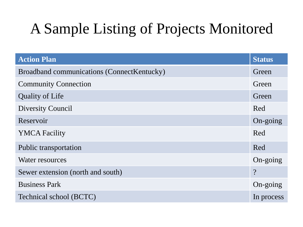## A Sample Listing of Projects Monitored

| <b>Action Plan</b>                         | <b>Status</b>            |
|--------------------------------------------|--------------------------|
| Broadband communications (ConnectKentucky) | Green                    |
| <b>Community Connection</b>                | Green                    |
| <b>Quality of Life</b>                     | Green                    |
| Diversity Council                          | Red                      |
| Reservoir                                  | On-going                 |
| <b>YMCA Facility</b>                       | Red                      |
| Public transportation                      | Red                      |
| Water resources                            | $On\text{-going}$        |
| Sewer extension (north and south)          | $\overline{\mathcal{C}}$ |
| <b>Business Park</b>                       | $On\text{-going}$        |
| Technical school (BCTC)                    | In process               |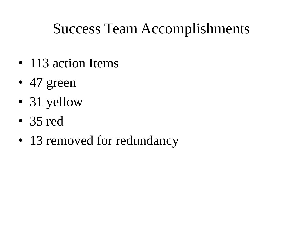### Success Team Accomplishments

- 113 action Items
- 47 green
- 31 yellow
- 35 red
- 13 removed for redundancy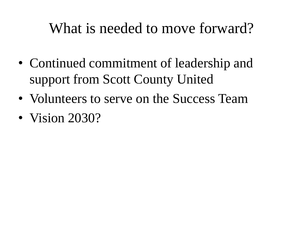### What is needed to move forward?

- Continued commitment of leadership and support from Scott County United
- Volunteers to serve on the Success Team
- Vision 2030?